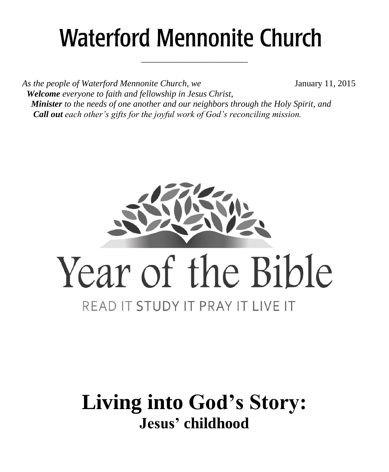# **Waterford Mennonite Church**

\_\_\_\_\_\_\_\_\_\_\_\_\_\_\_\_\_\_\_\_\_\_\_\_

As the people of Waterford Mennonite Church, we **January 11, 2015**  *Welcome everyone to faith and fellowship in Jesus Christ, Minister to the needs of one another and our neighbors through the Holy Spirit, and Call out each other's gifts for the joyful work of God's reconciling mission.*



## **Living into God's Story: Jesus' childhood**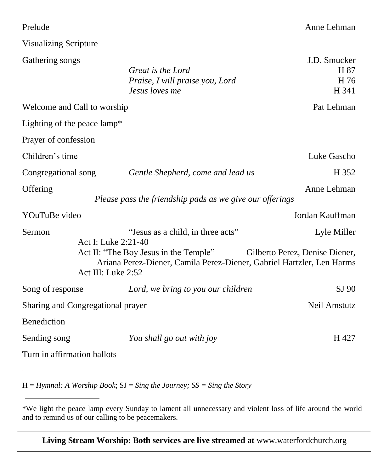#### Prelude Anne Lehman

#### Visualizing Scripture

| Gathering songs                   |                     | Great is the Lord<br>Praise, I will praise you, Lord<br>Jesus loves me                                         | J.D. Smucker<br>H 87<br>H 76<br>H 341 |
|-----------------------------------|---------------------|----------------------------------------------------------------------------------------------------------------|---------------------------------------|
| Welcome and Call to worship       |                     |                                                                                                                | Pat Lehman                            |
| Lighting of the peace lamp*       |                     |                                                                                                                |                                       |
| Prayer of confession              |                     |                                                                                                                |                                       |
| Children's time                   |                     |                                                                                                                | Luke Gascho                           |
| Congregational song               |                     | Gentle Shepherd, come and lead us                                                                              | H 352                                 |
| Offering                          |                     | Please pass the friendship pads as we give our offerings                                                       | Anne Lehman                           |
| YOuTuBe video                     |                     |                                                                                                                | Jordan Kauffman                       |
| Sermon                            | Act I: Luke 2:21-40 | "Jesus as a child, in three acts"                                                                              | Lyle Miller                           |
|                                   | Act III: Luke 2:52  | Act II: "The Boy Jesus in the Temple"<br>Ariana Perez-Diener, Camila Perez-Diener, Gabriel Hartzler, Len Harms | Gilberto Perez, Denise Diener,        |
| Song of response                  |                     | Lord, we bring to you our children                                                                             | $SI$ 90                               |
| Sharing and Congregational prayer |                     |                                                                                                                | Neil Amstutz                          |
| Benediction                       |                     |                                                                                                                |                                       |
| Sending song                      |                     | You shall go out with joy                                                                                      | H 427                                 |
| Turn in affirmation ballots       |                     |                                                                                                                |                                       |
|                                   |                     |                                                                                                                |                                       |

H = *Hymnal: A Worship Book*; SJ = *Sing the Journey; SS = Sing the Story*

**Living Stream Worship: Both services are live streamed at** [www.waterfordchurch.org](http://www.waterfordchurch.org/)

<sup>\*</sup>We light the peace lamp every Sunday to lament all unnecessary and violent loss of life around the world and to remind us of our calling to be peacemakers.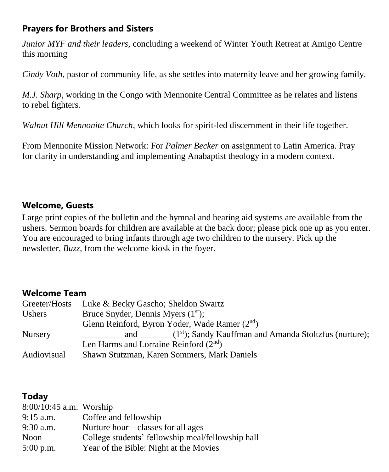#### **Prayers for Brothers and Sisters**

*Junior MYF and their leaders,* concluding a weekend of Winter Youth Retreat at Amigo Centre this morning

*Cindy Voth*, pastor of community life, as she settles into maternity leave and her growing family.

*M.J. Sharp,* working in the Congo with Mennonite Central Committee as he relates and listens to rebel fighters.

*Walnut Hill Mennonite Church*, which looks for spirit-led discernment in their life together.

From Mennonite Mission Network: For *Palmer Becker* on assignment to Latin America. Pray for clarity in understanding and implementing Anabaptist theology in a modern context.

#### **Welcome, Guests**

Large print copies of the bulletin and the hymnal and hearing aid systems are available from the ushers. Sermon boards for children are available at the back door; please pick one up as you enter. You are encouraged to bring infants through age two children to the nursery. Pick up the newsletter, *Buzz,* from the welcome kiosk in the foyer.

#### **Welcome Team**

| Greeter/Hosts  | Luke & Becky Gascho; Sheldon Swartz                                    |
|----------------|------------------------------------------------------------------------|
| Ushers         | Bruce Snyder, Dennis Myers $(1st)$ ;                                   |
|                | Glenn Reinford, Byron Yoder, Wade Ramer (2 <sup>nd</sup> )             |
| <b>Nursery</b> | and $\qquad (1^{st})$ ; Sandy Kauffman and Amanda Stoltzfus (nurture); |
|                | Len Harms and Lorraine Reinford $(2nd)$                                |
| Audiovisual    | Shawn Stutzman, Karen Sommers, Mark Daniels                            |

#### **Today**

| $8:00/10:45$ a.m. Worship |                                                   |
|---------------------------|---------------------------------------------------|
| $9:15$ a.m.               | Coffee and fellowship                             |
| $9:30$ a.m.               | Nurture hour—classes for all ages                 |
| Noon                      | College students' fellowship meal/fellowship hall |
| $5:00$ p.m.               | Year of the Bible: Night at the Movies            |